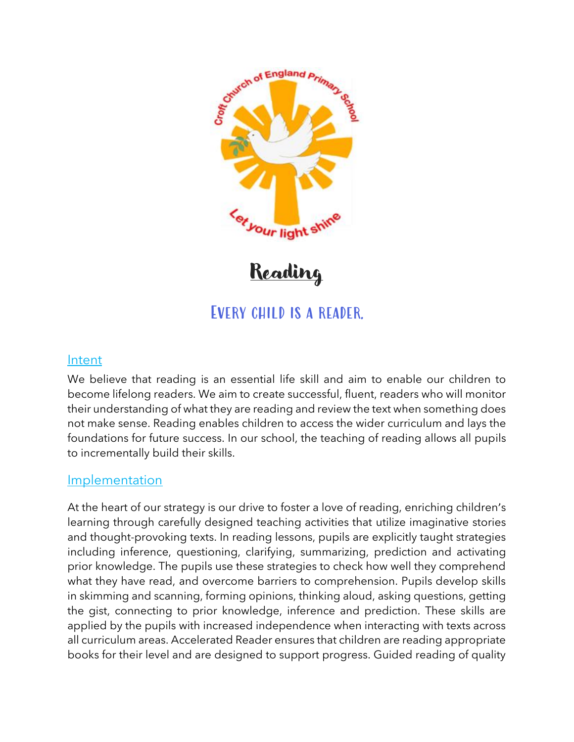

Reading

## Every child is a reader.

## Intent

We believe that reading is an essential life skill and aim to enable our children to become lifelong readers. We aim to create successful, fluent, readers who will monitor their understanding of what they are reading and review the text when something does not make sense. Reading enables children to access the wider curriculum and lays the foundations for future success. In our school, the teaching of reading allows all pupils to incrementally build their skills.

## Implementation

At the heart of our strategy is our drive to foster a love of reading, enriching children's learning through carefully designed teaching activities that utilize imaginative stories and thought-provoking texts. In reading lessons, pupils are explicitly taught strategies including inference, questioning, clarifying, summarizing, prediction and activating prior knowledge. The pupils use these strategies to check how well they comprehend what they have read, and overcome barriers to comprehension. Pupils develop skills in skimming and scanning, forming opinions, thinking aloud, asking questions, getting the gist, connecting to prior knowledge, inference and prediction. These skills are applied by the pupils with increased independence when interacting with texts across all curriculum areas. Accelerated Reader ensures that children are reading appropriate books for their level and are designed to support progress. Guided reading of quality